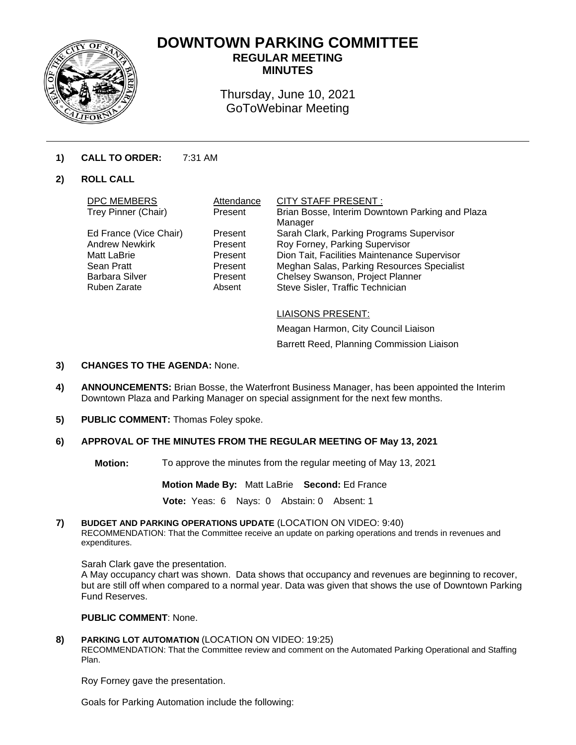

# **DOWNTOWN PARKING COMMITTEE REGULAR MEETING**

**MINUTES** 

Thursday, June 10, 2021 GoToWebinar Meeting

# **1) CALL TO ORDER:** 7:31 AM

# **2) ROLL CALL**

| <b>DPC MEMBERS</b>     | Attendance | <b>CITY STAFF PRESENT:</b>                      |
|------------------------|------------|-------------------------------------------------|
| Trey Pinner (Chair)    | Present    | Brian Bosse, Interim Downtown Parking and Plaza |
|                        |            | Manager                                         |
| Ed France (Vice Chair) | Present    | Sarah Clark, Parking Programs Supervisor        |
| <b>Andrew Newkirk</b>  | Present    | Roy Forney, Parking Supervisor                  |
| Matt LaBrie            | Present    | Dion Tait, Facilities Maintenance Supervisor    |
| Sean Pratt             | Present    | Meghan Salas, Parking Resources Specialist      |
| <b>Barbara Silver</b>  | Present    | Chelsey Swanson, Project Planner                |
| <b>Ruben Zarate</b>    | Absent     | Steve Sisler, Traffic Technician                |
|                        |            |                                                 |
|                        |            |                                                 |

LIAISONS PRESENT:

Meagan Harmon, City Council Liaison Barrett Reed, Planning Commission Liaison

#### **3) CHANGES TO THE AGENDA:** None.

- **4) ANNOUNCEMENTS:** Brian Bosse, the Waterfront Business Manager, has been appointed the Interim Downtown Plaza and Parking Manager on special assignment for the next few months.
- **5) PUBLIC COMMENT:** Thomas Foley spoke.

#### **6) APPROVAL OF THE MINUTES FROM THE REGULAR MEETING OF May 13, 2021**

**Motion:** To approve the minutes from the regular meeting of May 13, 2021

**Motion Made By:** Matt LaBrie **Second:** Ed France

**Vote:** Yeas: 6 Nays: 0 Abstain: 0 Absent: 1

**7) BUDGET AND PARKING OPERATIONS UPDATE** (LOCATION ON VIDEO: 9:40) RECOMMENDATION: That the Committee receive an update on parking operations and trends in revenues and expenditures.

Sarah Clark gave the presentation.

A May occupancy chart was shown. Data shows that occupancy and revenues are beginning to recover, but are still off when compared to a normal year. Data was given that shows the use of Downtown Parking Fund Reserves.

#### **PUBLIC COMMENT**: None.

#### **8) PARKING LOT AUTOMATION** (LOCATION ON VIDEO: 19:25)

RECOMMENDATION: That the Committee review and comment on the Automated Parking Operational and Staffing Plan.

Roy Forney gave the presentation.

Goals for Parking Automation include the following: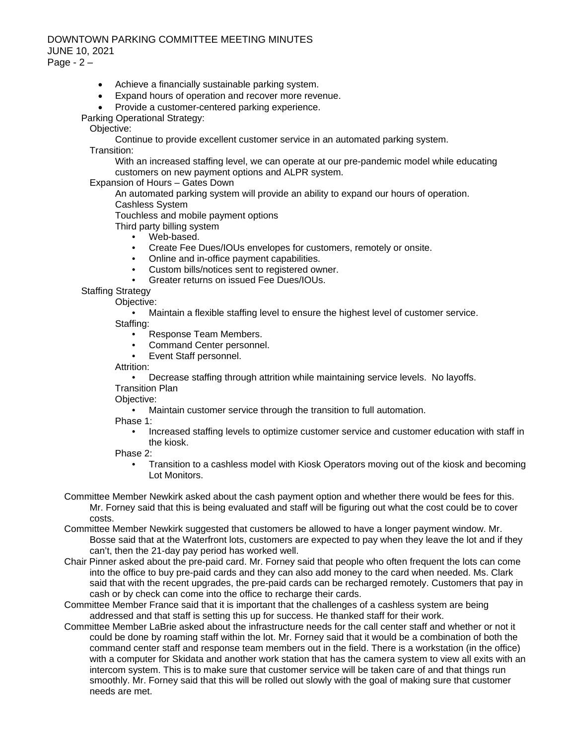## DOWNTOWN PARKING COMMITTEE MEETING MINUTES JUNE 10, 2021 Page -  $2 -$

- Achieve a financially sustainable parking system.
- Expand hours of operation and recover more revenue.
- Provide a customer-centered parking experience.

Parking Operational Strategy:

Objective:

Continue to provide excellent customer service in an automated parking system.

Transition:

With an increased staffing level, we can operate at our pre-pandemic model while educating customers on new payment options and ALPR system.

Expansion of Hours – Gates Down

An automated parking system will provide an ability to expand our hours of operation.

Cashless System

Touchless and mobile payment options Third party billing system

- 
- Web-based.<br>• Create Fee I • Create Fee Dues/IOUs envelopes for customers, remotely or onsite.
- Online and in-office payment capabilities.
- Custom bills/notices sent to registered owner.
- Greater returns on issued Fee Dues/IOUs.

Staffing Strategv

Objective:

• Maintain a flexible staffing level to ensure the highest level of customer service. Staffing:

- Response Team Members.
- Command Center personnel.<br>• Event Staff personnel
- Event Staff personnel.

Attrition:

• Decrease staffing through attrition while maintaining service levels. No layoffs. Transition Plan

Objective:

• Maintain customer service through the transition to full automation.

Phase 1:

• Increased staffing levels to optimize customer service and customer education with staff in the kiosk.

Phase 2:

- Transition to a cashless model with Kiosk Operators moving out of the kiosk and becoming Lot Monitors.
- Committee Member Newkirk asked about the cash payment option and whether there would be fees for this. Mr. Forney said that this is being evaluated and staff will be figuring out what the cost could be to cover costs.
- Committee Member Newkirk suggested that customers be allowed to have a longer payment window. Mr. Bosse said that at the Waterfront lots, customers are expected to pay when they leave the lot and if they can't, then the 21-day pay period has worked well.
- Chair Pinner asked about the pre-paid card. Mr. Forney said that people who often frequent the lots can come into the office to buy pre-paid cards and they can also add money to the card when needed. Ms. Clark said that with the recent upgrades, the pre-paid cards can be recharged remotely. Customers that pay in cash or by check can come into the office to recharge their cards.
- Committee Member France said that it is important that the challenges of a cashless system are being addressed and that staff is setting this up for success. He thanked staff for their work.
- Committee Member LaBrie asked about the infrastructure needs for the call center staff and whether or not it could be done by roaming staff within the lot. Mr. Forney said that it would be a combination of both the command center staff and response team members out in the field. There is a workstation (in the office) with a computer for Skidata and another work station that has the camera system to view all exits with an intercom system. This is to make sure that customer service will be taken care of and that things run smoothly. Mr. Forney said that this will be rolled out slowly with the goal of making sure that customer needs are met.